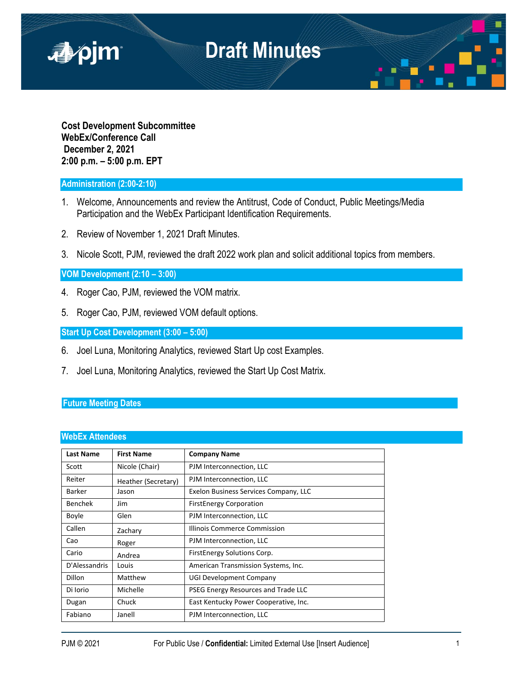

**Cost Development Subcommittee WebEx/Conference Call December 2, 2021 2:00 p.m. – 5:00 p.m. EPT**

## **Administration (2:00-2:10)**

- 1. Welcome, Announcements and review the Antitrust, Code of Conduct, Public Meetings/Media Participation and the WebEx Participant Identification Requirements.
- 2. Review of November 1, 2021 Draft Minutes.
- 3. Nicole Scott, PJM, reviewed the draft 2022 work plan and solicit additional topics from members.

### **VOM Development (2:10 – 3:00)**

- 4. Roger Cao, PJM, reviewed the VOM matrix.
- 5. Roger Cao, PJM, reviewed VOM default options.

**Start Up Cost Development (3:00 – 5:00)**

- 6. Joel Luna, Monitoring Analytics, reviewed Start Up cost Examples.
- 7. Joel Luna, Monitoring Analytics, reviewed the Start Up Cost Matrix.

### **Future Meeting Dates**

#### **WebEx Attendees**

| <b>Last Name</b> | <b>First Name</b>   | <b>Company Name</b>                   |
|------------------|---------------------|---------------------------------------|
| Scott            | Nicole (Chair)      | PJM Interconnection, LLC              |
| Reiter           | Heather (Secretary) | PJM Interconnection, LLC              |
| Barker           | Jason               | Exelon Business Services Company, LLC |
| Benchek          | Jim                 | <b>FirstEnergy Corporation</b>        |
| Boyle            | Glen                | PJM Interconnection, LLC              |
| Callen           | Zachary             | Illinois Commerce Commission          |
| Cao              | Roger               | PJM Interconnection, LLC              |
| Cario            | Andrea              | FirstEnergy Solutions Corp.           |
| D'Alessandris    | Louis               | American Transmission Systems, Inc.   |
| <b>Dillon</b>    | Matthew             | <b>UGI Development Company</b>        |
| Di Iorio         | Michelle            | PSEG Energy Resources and Trade LLC   |
| Dugan            | Chuck               | East Kentucky Power Cooperative, Inc. |
| Fabiano          | Janell              | PJM Interconnection, LLC              |